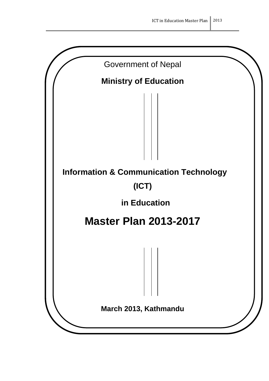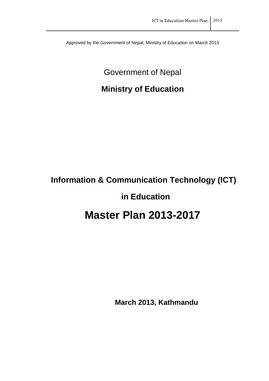Approved by the Government of Nepal, Ministry of Education on March 2013

Government of Nepal

# **Ministry of Education**

# **Information & Communication Technology (ICT)**

# **in Education**

# **Master Plan 2013-2017**

**March 2013, Kathmandu**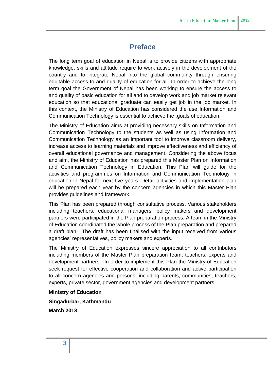# **Preface**

The long term goal of education in Nepal is to provide citizens with appropriate knowledge, skills and attitude require to work actively in the development of the country and to integrate Nepal into the global community through ensuring equitable access to and quality of education for all. In order to achieve the long term goal the Government of Nepal has been working to ensure the access to and quality of basic education for all and to develop work and job market relevant education so that educational graduate can easily get job in the job market. In this context, the Ministry of Education has considered the use Information and Communication Technology is essential to achieve the .goals of education.

The Ministry of Education aims at providing necessary skills on Information and Communication Technology to the students as well as using Information and Communication Technology as an important tool to improve classroom delivery, increase access to learning materials and improve effectiveness and efficiency of overall educational governance and management. Considering the above focus and aim, the Ministry of Education has prepared this Master Plan on Information and Communication Technology in Education. This Plan will guide for the activities and programmes on Information and Communication Technology in education in Nepal for next five years. Detail activities and implementation plan will be prepared each year by the concern agencies in which this Master Plan provides guidelines and framework.

This Plan has been prepared through consultative process. Various stakeholders including teachers, educational managers, policy makers and development partners were participated in the Plan preparation process. A team in the Ministry of Education coordinated the whole process of the Plan preparation and prepared a draft plan. The draft has been finalised with the input received from various agencies' representatives, policy makers and experts.

The Ministry of Education expresses sincere appreciation to all contributors including members of the Master Plan preparation team, teachers, experts and development partners. In order to implement this Plan the Ministry of Education seek request for effective cooperation and collaboration and active participation to all concern agencies and persons, including parents, communities, teachers, experts, private sector, government agencies and development partners.

**Ministry of Education**

**Singadurbar, Kathmandu March 2013**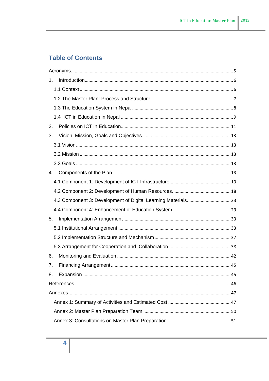# **Table of Contents**

| 1. |  |
|----|--|
|    |  |
|    |  |
|    |  |
|    |  |
| 2. |  |
| 3. |  |
|    |  |
|    |  |
|    |  |
| 4. |  |
|    |  |
|    |  |
|    |  |
|    |  |
| 5. |  |
|    |  |
|    |  |
|    |  |
| 6. |  |
| 7. |  |
| 8. |  |
|    |  |
|    |  |
|    |  |
|    |  |
|    |  |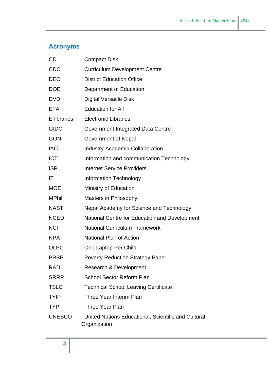# <span id="page-4-0"></span>**Acronyms**

| CD            | : Compact Disk                                                        |
|---------------|-----------------------------------------------------------------------|
| <b>CDC</b>    | : Curriculum Development Centre                                       |
| <b>DEO</b>    | : District Education Office                                           |
| <b>DOE</b>    | : Department of Education                                             |
| <b>DVD</b>    | : Digital Versatile Disk                                              |
| <b>EFA</b>    | : Education for All                                                   |
| E-libraries   | : Electronic Libraries                                                |
| <b>GIDC</b>   | : Government Integrated Data Centre                                   |
| <b>GON</b>    | : Government of Nepal                                                 |
| <b>IAC</b>    | : Industry-Academia Collaboration                                     |
| <b>ICT</b>    | : Information and communication Technology                            |
| <b>ISP</b>    | : Internet Service Providers                                          |
| IT            | : Information Technology                                              |
| <b>MOE</b>    | : Ministry of Education                                               |
| <b>MPhil</b>  | : Masters in Philosophy                                               |
| <b>NAST</b>   | : Nepal Academy for Science and Technology                            |
| <b>NCED</b>   | : National Centre for Education and Development                       |
| <b>NCF</b>    | : National Curriculum Framework                                       |
| <b>NPA</b>    | : National Plan of Action                                             |
| <b>OLPC</b>   | : One Laptop Per Child                                                |
| <b>PRSP</b>   | : Poverty Reduction Strategy Paper                                    |
| R&D           | : Research & Development                                              |
| <b>SRRP</b>   | : School Sector Reform Plan                                           |
| <b>TSLC</b>   | : Technical School Leaving Certificate                                |
| <b>TYIP</b>   | : Three Year Interim Plan                                             |
| <b>TYP</b>    | : Three Year Plan                                                     |
| <b>UNESCO</b> | : United Nations Educational, Scientific and Cultural<br>Organization |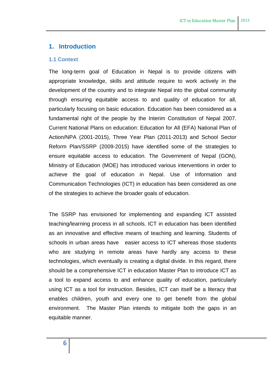## <span id="page-5-0"></span>**1. Introduction**

#### <span id="page-5-1"></span>**1.1 Context**

The long-term goal of Education in Nepal is to provide citizens with appropriate knowledge, skills and attitude require to work actively in the development of the country and to integrate Nepal into the global community through ensuring equitable access to and quality of education for all, particularly focusing on basic education. Education has been considered as a fundamental right of the people by the Interim Constitution of Nepal 2007. Current National Plans on education: Education for All (EFA) National Plan of Action/NPA (2001-2015), Three Year Plan (2011-2013) and School Sector Reform Plan/SSRP (2009-2015) have identified some of the strategies to ensure equitable access to education. The Government of Nepal (GON), Ministry of Education (MOE) has introduced various interventions in order to achieve the goal of education in Nepal. Use of Information and Communication Technologies (ICT) in education has been considered as one of the strategies to achieve the broader goals of education.

The SSRP has envisioned for implementing and expanding ICT assisted teaching/learning process in all schools. ICT in education has been identified as an innovative and effective means of teaching and learning. Students of schools in urban areas have easier access to ICT whereas those students who are studying in remote areas have hardly any access to these technologies, which eventually is creating a digital divide. In this regard, there should be a comprehensive ICT in education Master Plan to introduce ICT as a tool to expand access to and enhance quality of education, particularly using ICT as a tool for instruction. Besides, ICT can itself be a literacy that enables children, youth and every one to get benefit from the global environment. The Master Plan intends to mitigate both the gaps in an equitable manner.

**6**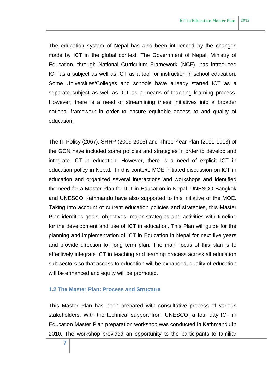The education system of Nepal has also been influenced by the changes made by ICT in the global context. The Government of Nepal, Ministry of Education, through National Curriculum Framework (NCF), has introduced ICT as a subject as well as ICT as a tool for instruction in school education. Some Universities/Colleges and schools have already started ICT as a separate subject as well as ICT as a means of teaching learning process. However, there is a need of streamlining these initiatives into a broader national framework in order to ensure equitable access to and quality of education.

The IT Policy (2067), SRRP (2009-2015) and Three Year Plan (2011-1013) of the GON have included some policies and strategies in order to develop and integrate ICT in education. However, there is a need of explicit ICT in education policy in Nepal. In this context, MOE initiated discussion on ICT in education and organized several interactions and workshops and identified the need for a Master Plan for ICT in Education in Nepal. UNESCO Bangkok and UNESCO Kathmandu have also supported to this initiative of the MOE. Taking into account of current education policies and strategies, this Master Plan identifies goals, objectives, major strategies and activities with timeline for the development and use of ICT in education. This Plan will guide for the planning and implementation of ICT in Education in Nepal for next five years and provide direction for long term plan. The main focus of this plan is to effectively integrate ICT in teaching and learning process across all education sub-sectors so that access to education will be expanded, quality of education will be enhanced and equity will be promoted.

#### <span id="page-6-0"></span>**1.2 The Master Plan: Process and Structure**

This Master Plan has been prepared with consultative process of various stakeholders. With the technical support from UNESCO, a four day ICT in Education Master Plan preparation workshop was conducted in Kathmandu in 2010. The workshop provided an opportunity to the participants to familiar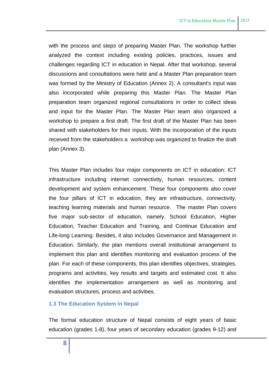with the process and steps of preparing Master Plan. The workshop further analyzed the context including existing policies, practices, issues and challenges regarding ICT in education in Nepal. After that workshop, several discussions and consultations were held and a Master Plan preparation team was formed by the Ministry of Education (Annex 2). A consultant's input was also incorporated while preparing this Master Plan. The Master Plan preparation team organized regional consultations in order to collect ideas and input for the Master Plan. The Master Plan team also organized a workshop to prepare a first draft. The first draft of the Master Plan has been shared with stakeholders for their inputs. With the incorporation of the inputs received from the stakeholders a workshop was organized to finalize the draft plan (Annex 3).

This Master Plan includes four major components on ICT in education: ICT infrastructure including internet connectivity, human resources, content development and system enhancement. These four components also cover the four pillars of ICT in education, they are infrastructure, connectivity, teaching learning materials and human resource. The master Plan covers five major sub-sector of education, namely, School Education, Higher Education, Teacher Education and Training, and Continue Education and Life-long Learning. Besides, it also includes Governance and Management in Education. Similarly, the plan mentions overall institutional arrangement to implement this plan and identifies monitoring and evaluation process of the plan. For each of these components, this plan identifies objectives, strategies, programs and activities, key results and targets and estimated cost. It also identifies the implementation arrangement as well as monitoring and evaluation structures, process and activities.

#### <span id="page-7-0"></span>**1.3 The Education System in Nepal**

The formal education structure of Nepal consists of eight years of basic education (grades 1-8), four years of secondary education (grades 9-12) and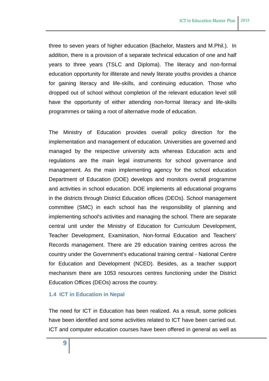three to seven years of higher education (Bachelor, Masters and M.Phil.). In addition, there is a provision of a separate technical education of one and half years to three years (TSLC and Diploma). The literacy and non-formal education opportunity for illiterate and newly literate youths provides a chance for gaining literacy and life-skills, and continuing education. Those who dropped out of school without completion of the relevant education level still have the opportunity of either attending non-formal literacy and life-skills programmes or taking a root of alternative mode of education.

The Ministry of Education provides overall policy direction for the implementation and management of education. Universities are governed and managed by the respective university acts whereas Education acts and regulations are the main legal instruments for school governance and management. As the main implementing agency for the school education Department of Education (DOE) develops and monitors overall programme and activities in school education. DOE implements all educational programs in the districts through District Education offices (DEOs). School management committee (SMC) in each school has the responsibility of planning and implementing school's activities and managing the school. There are separate central unit under the Ministry of Education for Curriculum Development, Teacher Development, Examination, Non-formal Education and Teachers' Records management. There are 29 education training centres across the country under the Government's educational training central - National Centre for Education and Development (NCED). Besides, as a teacher support mechanism there are 1053 resources centres functioning under the District Education Offices (DEOs) across the country.

#### <span id="page-8-0"></span>**1.4 ICT in Education in Nepal**

The need for ICT in Education has been realized. As a result, some policies have been identified and some activities related to ICT have been carried out. ICT and computer education courses have been offered in general as well as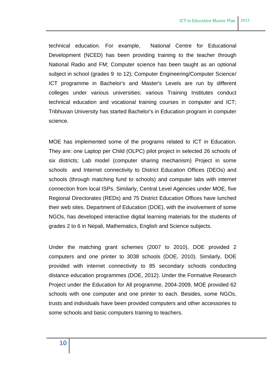technical education. For example, National Centre for Educational Development (NCED) has been providing training to the teacher through National Radio and FM; Computer science has been taught as an optional subject in school (grades 9 to 12); Computer Engineering/Computer Science/ ICT programme in Bachelor's and Master's Levels are run by different colleges under various universities; various Training Institutes conduct technical education and vocational training courses in computer and ICT; Tribhuvan University has started Bachelor's in Education program in computer science.

MOE has implemented some of the programs related to ICT in Education. They are: one Laptop per Child (OLPC) pilot project in selected 26 schools of six districts; Lab model (computer sharing mechanism) Project in some schools and Internet connectivity to District Education Offices (DEOs) and schools (through matching fund to schools) and computer labs with internet connection from local ISPs. Similarly, Central Level Agencies under MOE, five Regional Directorates (REDs) and 75 District Education Offices have lunched their web sites. Department of Education (DOE), with the involvement of some NGOs, has developed interactive digital learning materials for the students of grades 2 to 6 in Nepali, Mathematics, English and Science subjects.

Under the matching grant schemes (2007 to 2010), DOE provided 2 computers and one printer to 3038 schools (DOE, 2010). Similarly, DOE provided with internet connectivity to 85 secondary schools conducting distance education programmes (DOE, 2012). Under the Formative Research Project under the Education for All programme, 2004-2009, MOE provided 62 schools with one computer and one printer to each. Besides, some NGOs, trusts and individuals have been provided computers and other accessories to some schools and basic computers training to teachers.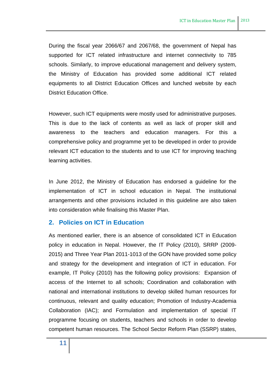During the fiscal year 2066/67 and 2067/68, the government of Nepal has supported for ICT related infrastructure and internet connectivity to 785 schools. Similarly, to improve educational management and delivery system, the Ministry of Education has provided some additional ICT related equipments to all District Education Offices and lunched website by each District Education Office.

However, such ICT equipments were mostly used for administrative purposes. This is due to the lack of contents as well as lack of proper skill and awareness to the teachers and education managers. For this a comprehensive policy and programme yet to be developed in order to provide relevant ICT education to the students and to use ICT for improving teaching learning activities.

In June 2012, the Ministry of Education has endorsed a guideline for the implementation of ICT in school education in Nepal. The institutional arrangements and other provisions included in this guideline are also taken into consideration while finalising this Master Plan.

## <span id="page-10-0"></span>**2. Policies on ICT in Education**

As mentioned earlier, there is an absence of consolidated ICT in Education policy in education in Nepal. However, the IT Policy (2010), SRRP (2009- 2015) and Three Year Plan 2011-1013 of the GON have provided some policy and strategy for the development and integration of ICT in education. For example, IT Policy (2010) has the following policy provisions: Expansion of access of the Internet to all schools; Coordination and collaboration with national and international institutions to develop skilled human resources for continuous, relevant and quality education; Promotion of Industry-Academia Collaboration (IAC); and Formulation and implementation of special IT programme focusing on students, teachers and schools in order to develop competent human resources. The School Sector Reform Plan (SSRP) states,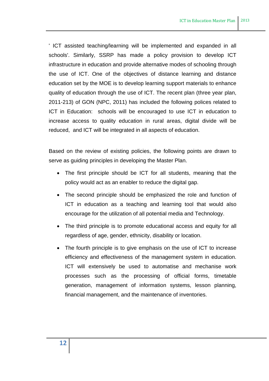' ICT assisted teaching/learning will be implemented and expanded in all schools'. Similarly, SSRP has made a policy provision to develop ICT infrastructure in education and provide alternative modes of schooling through the use of ICT. One of the objectives of distance learning and distance education set by the MOE is to develop learning support materials to enhance quality of education through the use of ICT. The recent plan (three year plan, 2011-213) of GON (NPC, 2011) has included the following polices related to ICT in Education: schools will be encouraged to use ICT in education to increase access to quality education in rural areas, digital divide will be reduced, and ICT will be integrated in all aspects of education.

Based on the review of existing policies, the following points are drawn to serve as guiding principles in developing the Master Plan.

- The first principle should be ICT for all students, meaning that the policy would act as an enabler to reduce the digital gap.
- The second principle should be emphasized the role and function of ICT in education as a teaching and learning tool that would also encourage for the utilization of all potential media and Technology.
- The third principle is to promote educational access and equity for all regardless of age, gender, ethnicity, disability or location.
- The fourth principle is to give emphasis on the use of ICT to increase efficiency and effectiveness of the management system in education. ICT will extensively be used to automatise and mechanise work processes such as the processing of official forms, timetable generation, management of information systems, lesson planning, financial management, and the maintenance of inventories.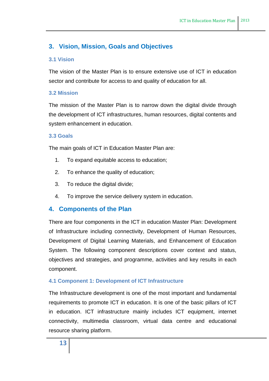# <span id="page-12-0"></span>**3. Vision, Mission, Goals and Objectives**

## <span id="page-12-1"></span>**3.1 Vision**

The vision of the Master Plan is to ensure extensive use of ICT in education sector and contribute for access to and quality of education for all.

## <span id="page-12-2"></span>**3.2 Mission**

The mission of the Master Plan is to narrow down the digital divide through the development of ICT infrastructures, human resources, digital contents and system enhancement in education.

## <span id="page-12-3"></span>**3.3 Goals**

The main goals of ICT in Education Master Plan are:

- 1. To expand equitable access to education;
- 2. To enhance the quality of education;
- 3. To reduce the digital divide;
- 4. To improve the service delivery system in education.

## <span id="page-12-4"></span>**4. Components of the Plan**

There are four components in the ICT in education Master Plan: Development of Infrastructure including connectivity, Development of Human Resources, Development of Digital Learning Materials, and Enhancement of Education System. The following component descriptions cover context and status, objectives and strategies, and programme, activities and key results in each component.

## <span id="page-12-5"></span>**4.1 Component 1: Development of ICT Infrastructure**

The Infrastructure development is one of the most important and fundamental requirements to promote ICT in education. It is one of the basic pillars of ICT in education. ICT infrastructure mainly includes ICT equipment, internet connectivity, multimedia classroom, virtual data centre and educational resource sharing platform.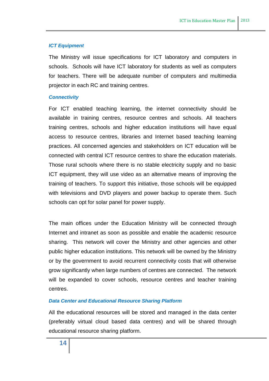#### *ICT Equipment*

The Ministry will issue specifications for ICT laboratory and computers in schools. Schools will have ICT laboratory for students as well as computers for teachers. There will be adequate number of computers and multimedia projector in each RC and training centres.

#### *Connectivity*

For ICT enabled teaching learning, the internet connectivity should be available in training centres, resource centres and schools. All teachers training centres, schools and higher education institutions will have equal access to resource centres, libraries and Internet based teaching learning practices. All concerned agencies and stakeholders on ICT education will be connected with central ICT resource centres to share the education materials. Those rural schools where there is no stable electricity supply and no basic ICT equipment, they will use video as an alternative means of improving the training of teachers. To support this initiative, those schools will be equipped with televisions and DVD players and power backup to operate them. Such schools can opt for solar panel for power supply.

The main offices under the Education Ministry will be connected through Internet and intranet as soon as possible and enable the academic resource sharing. This network will cover the Ministry and other agencies and other public higher education institutions. This network will be owned by the Ministry or by the government to avoid recurrent connectivity costs that will otherwise grow significantly when large numbers of centres are connected. The network will be expanded to cover schools, resource centres and teacher training centres.

## *Data Center and Educational Resource Sharing Platform*

All the educational resources will be stored and managed in the data center (preferably virtual cloud based data centres) and will be shared through educational resource sharing platform.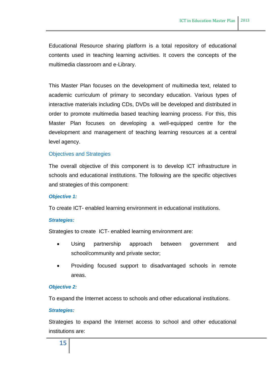Educational Resource sharing platform is a total repository of educational contents used in teaching learning activities. It covers the concepts of the multimedia classroom and e-Library.

This Master Plan focuses on the development of multimedia text, related to academic curriculum of primary to secondary education. Various types of interactive materials including CDs, DVDs will be developed and distributed in order to promote multimedia based teaching learning process. For this, this Master Plan focuses on developing a well-equipped centre for the development and management of teaching learning resources at a central level agency.

#### Objectives and Strategies

The overall objective of this component is to develop ICT infrastructure in schools and educational institutions. The following are the specific objectives and strategies of this component:

#### *Objective 1:*

To create ICT- enabled learning environment in educational institutions.

#### *Strategies:*

Strategies to create ICT- enabled learning environment are:

- Using partnership approach between government and school/community and private sector;
- Providing focused support to disadvantaged schools in remote areas.

#### *Objective 2:*

To expand the Internet access to schools and other educational institutions.

#### *Strategies:*

Strategies to expand the Internet access to school and other educational institutions are: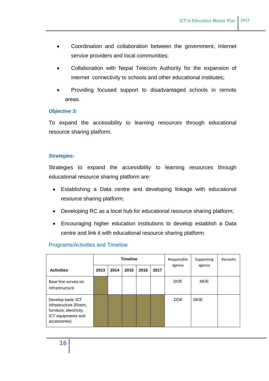- Coordination and collaboration between the government, Internet service providers and local communities;
- Collaboration with Nepal Telecom Authority for the expansion of internet connectivity to schools and other educational institutes;
- Providing focused support to disadvantaged schools in remote areas.

#### *Objective 3:*

To expand the accessibility to learning resources through educational resource sharing platform.

#### *Strategies:*

Strategies to expand the accessibility to learning resources through educational resource sharing platform are:

- Establishing a Data centre and developing linkage with educational resource sharing platform;
- Developing RC as a local hub for educational resource sharing platform;
- Encouraging higher education institutions to develop establish a Data centre and link it with educational resource sharing platform.

## Programs/Activities and Timeline

|                                                                                                             |      | <b>Timeline</b> |      |      |      | Responsible | Supporting<br>agency | Remarks |
|-------------------------------------------------------------------------------------------------------------|------|-----------------|------|------|------|-------------|----------------------|---------|
| <b>Activities</b>                                                                                           | 2013 | 2014            | 2015 | 2016 | 2017 | agency      |                      |         |
| Base line survey on<br>infrastructure                                                                       |      |                 |      |      |      | DOE         | <b>MOE</b>           |         |
| Develop basic ICT<br>infrastructure (Room,<br>furniture, electricity,<br>ICT equipments and<br>accessories) |      |                 |      |      |      | <b>DOE</b>  | <b>MOE</b>           |         |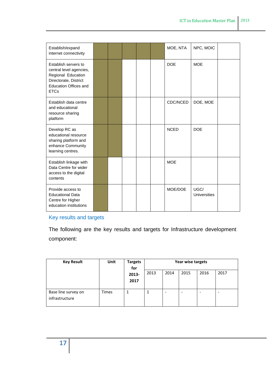| Establish/expand<br>internet connectivity                                                                                                     |  |  | MOE, NTA    | NPC, MOIC                   |  |
|-----------------------------------------------------------------------------------------------------------------------------------------------|--|--|-------------|-----------------------------|--|
| Establish servers to<br>central level agencies,<br>Regional Education<br>Directorate, District<br><b>Education Offices and</b><br><b>ETCs</b> |  |  | <b>DOE</b>  | <b>MOE</b>                  |  |
| Establish data centre<br>and educational<br>resource sharing<br>platform                                                                      |  |  | CDC/NCED    | DOE, MOE                    |  |
| Develop RC as<br>educational resource<br>sharing platform and<br>enhance Community<br>learning centres.                                       |  |  | <b>NCED</b> | <b>DOE</b>                  |  |
| Establish linkage with<br>Data Centre for wider<br>access to the digital<br>contents                                                          |  |  | <b>MOE</b>  |                             |  |
| Provide access to<br><b>Educational Data</b><br>Centre for Higher<br>education institutions                                                   |  |  | MOE/DOE     | UGC/<br><b>Universities</b> |  |

# Key results and targets

The following are the key results and targets for Infrastructure development component:

| <b>Key Result</b>   | Unit         | <b>Targets</b> | Year wise targets |                          |      |      |      |  |  |
|---------------------|--------------|----------------|-------------------|--------------------------|------|------|------|--|--|
|                     |              | for            |                   |                          |      |      |      |  |  |
|                     |              | 2013-          | 2013              | 2014                     | 2015 | 2016 | 2017 |  |  |
|                     |              | 2017           |                   |                          |      |      |      |  |  |
|                     |              |                |                   |                          |      |      |      |  |  |
| Base line survey on | <b>Times</b> |                |                   | $\overline{\phantom{0}}$ |      | -    |      |  |  |
| infrastructure      |              |                |                   |                          |      |      |      |  |  |
|                     |              |                |                   |                          |      |      |      |  |  |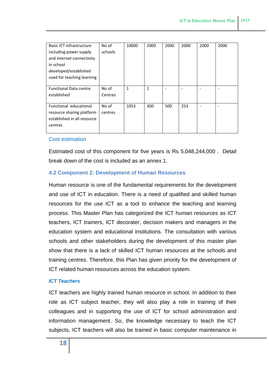| <b>Basic ICT infrastructure</b> | No of   | 10000        | 2000 | 2000 | 2000 | 2000 | 2000 |
|---------------------------------|---------|--------------|------|------|------|------|------|
| including power supply          | schools |              |      |      |      |      |      |
| and internet connectivity       |         |              |      |      |      |      |      |
| in school                       |         |              |      |      |      |      |      |
| developed/established           |         |              |      |      |      |      |      |
| used for teaching learning      |         |              |      |      |      |      |      |
|                                 |         |              |      |      |      |      |      |
| <b>Functional Data centre</b>   | No of   | $\mathbf{1}$ | 1    | ٠    |      |      |      |
| established                     | Centres |              |      |      |      |      |      |
|                                 |         |              |      |      |      |      |      |
| Functional educational          | No of   | 1053         | 300  | 500  | 253  |      |      |
| resource sharing platform       | centres |              |      |      |      |      |      |
| established in all resource     |         |              |      |      |      |      |      |
| centres                         |         |              |      |      |      |      |      |
|                                 |         |              |      |      |      |      |      |

#### Cost estimation

Estimated cost of this component for five years is Rs 5,048,244,000 . Detail break down of the cost is included as an annex 1.

## <span id="page-17-0"></span>**4.2 Component 2: Development of Human Resources**

Human resource is one of the fundamental requirements for the development and use of ICT in education. There is a need of qualified and skilled human resources for the use ICT as a tool to enhance the teaching and learning process. This Master Plan has categorized the ICT human resources as ICT teachers, ICT trainers, ICT decorater, decision makers and managers in the education system and educational institutions. The consultation with various schools and other stakeholders during the development of this master plan show that there is a lack of skilled ICT human resources at the schools and training centres. Therefore, this Plan has given priority for the development of ICT related human resources across the education system.

#### *ICT Teachers*

ICT teachers are highly trained human resource in school. In addition to their role as ICT subject teacher, they will also play a role in training of their colleagues and in supporting the use of ICT for school administration and information management. So, the knowledge necessary to teach the ICT subjects, ICT teachers will also be trained in basic computer maintenance in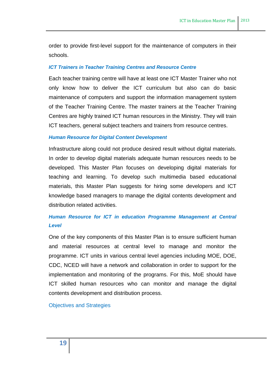order to provide first-level support for the maintenance of computers in their schools.

#### *ICT Trainers in Teacher Training Centres and Resource Centre*

Each teacher training centre will have at least one ICT Master Trainer who not only know how to deliver the ICT curriculum but also can do basic maintenance of computers and support the information management system of the Teacher Training Centre. The master trainers at the Teacher Training Centres are highly trained ICT human resources in the Ministry. They will train ICT teachers, general subject teachers and trainers from resource centres.

#### *Human Resource for Digital Content Development*

Infrastructure along could not produce desired result without digital materials. In order to develop digital materials adequate human resources needs to be developed. This Master Plan focuses on developing digital materials for teaching and learning. To develop such multimedia based educational materials, this Master Plan suggests for hiring some developers and ICT knowledge based managers to manage the digital contents development and distribution related activities.

# *Human Resource for ICT in education Programme Management at Central Level*

One of the key components of this Master Plan is to ensure sufficient human and material resources at central level to manage and monitor the programme. ICT units in various central level agencies including MOE, DOE, CDC, NCED will have a network and collaboration in order to support for the implementation and monitoring of the programs. For this, MoE should have ICT skilled human resources who can monitor and manage the digital contents development and distribution process.

Objectives and Strategies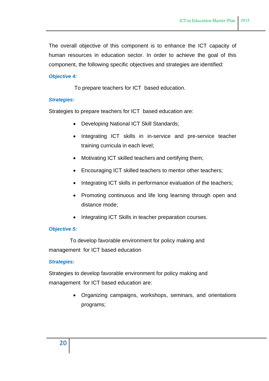The overall objective of this component is to enhance the ICT capacity of human resources in education sector. In order to achieve the goal of this component, the following specific objectives and strategies are identified:

## *Objective 4:*

To prepare teachers for ICT based education.

## *Strategies:*

Strategies to prepare teachers for ICT based education are:

- Developing National ICT Skill Standards;
- Integrating ICT skills in in-service and pre-service teacher training curricula in each level;
- Motivating ICT skilled teachers and certifying them;
- Encouraging ICT skilled teachers to mentor other teachers;
- Integrating ICT skills in performance evaluation of the teachers;
- Promoting continuous and life long learning through open and distance mode;
- Integrating ICT Skills in teacher preparation courses.

## *Objective 5:*

To develop favorable environment for policy making and management for ICT based education

## *Strategies:*

Strategies to develop favorable environment for policy making and management for ICT based education are:

> Organizing campaigns, workshops, seminars, and orientations programs;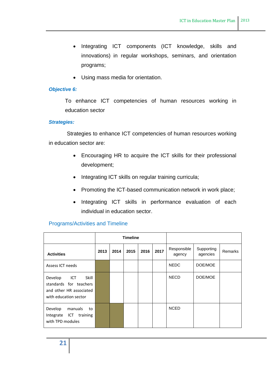- Integrating ICT components (ICT knowledge, skills and innovations) in regular workshops, seminars, and orientation programs;
- Using mass media for orientation.

#### *Objective 6:*

To enhance ICT competencies of human resources working in education sector

#### *Strategies:*

Strategies to enhance ICT competencies of human resources working in education sector are:

- Encouraging HR to acquire the ICT skills for their professional development;
- Integrating ICT skills on regular training curricula;
- Promoting the ICT-based communication network in work place;
- Integrating ICT skills in performance evaluation of each individual in education sector.

|                                                                                                              |      |      | <b>Timeline</b> |      |      |                       |                        |                |
|--------------------------------------------------------------------------------------------------------------|------|------|-----------------|------|------|-----------------------|------------------------|----------------|
| <b>Activities</b>                                                                                            | 2013 | 2014 | 2015            | 2016 | 2017 | Responsible<br>agency | Supporting<br>agencies | <b>Remarks</b> |
| Assess ICT needs                                                                                             |      |      |                 |      |      | <b>NEDC</b>           | DOE/MOE                |                |
| <b>Skill</b><br>Develop<br>ICT<br>standards for teachers<br>and other HR associated<br>with education sector |      |      |                 |      |      | <b>NECD</b>           | DOE/MOE                |                |
| Develop<br>manuals<br>to<br>Integrate ICT training<br>with TPD modules                                       |      |      |                 |      |      | <b>NCED</b>           |                        |                |

## Programs/Activities and Timeline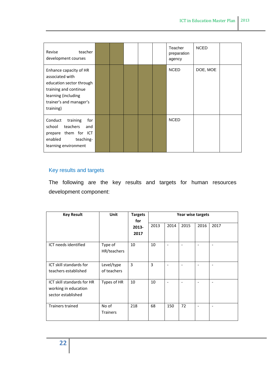| teacher<br>Revise<br>development courses                                                                                                                      |  |  | Teacher<br>preparation<br>agency | <b>NCED</b> |  |
|---------------------------------------------------------------------------------------------------------------------------------------------------------------|--|--|----------------------------------|-------------|--|
| Enhance capacity of HR<br>associated with<br>education sector through<br>training and continue<br>learning (including<br>trainer's and manager's<br>training) |  |  | <b>NCED</b>                      | DOE, MOE    |  |
| Conduct<br>training<br>for<br>teachers<br>school<br>and<br>prepare them for ICT<br>enabled<br>teaching-<br>learning environment                               |  |  | <b>NCED</b>                      |             |  |

# Key results and targets

The following are the key results and targets for human resources development component:

| <b>Key Result</b>                                                        | Unit                      | <b>Targets</b><br>for |      | Year wise targets            |                              |      |      |  |  |
|--------------------------------------------------------------------------|---------------------------|-----------------------|------|------------------------------|------------------------------|------|------|--|--|
|                                                                          |                           | 2013-                 | 2013 | 2014                         | 2015                         | 2016 | 2017 |  |  |
|                                                                          |                           | 2017                  |      |                              |                              |      |      |  |  |
| ICT needs identified                                                     | Type of<br>HR/teachers    | 10                    | 10   |                              |                              |      |      |  |  |
| ICT skill standards for<br>teachers established                          | Level/type<br>of teachers | 3                     | 3    | $\qquad \qquad \blacksquare$ | $\qquad \qquad \blacksquare$ |      |      |  |  |
| ICT skill standards for HR<br>working in education<br>sector established | Types of HR               | 10                    | 10   | $\overline{\phantom{a}}$     | $\qquad \qquad \blacksquare$ |      |      |  |  |
| Trainers trained                                                         | No of<br><b>Trainers</b>  | 218                   | 68   | 150                          | 72                           |      |      |  |  |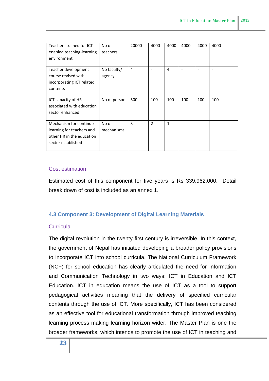| Teachers trained for ICT  | No of        | 20000 | 4000           | 4000         | 4000 | 4000 | 4000 |
|---------------------------|--------------|-------|----------------|--------------|------|------|------|
| enabled teaching-learning | teachers     |       |                |              |      |      |      |
| environment               |              |       |                |              |      |      |      |
|                           |              |       |                |              |      |      |      |
| Teacher development       | No faculty/  | 4     |                | 4            |      |      |      |
| course revised with       | agency       |       |                |              |      |      |      |
| incorporating ICT related |              |       |                |              |      |      |      |
| contents                  |              |       |                |              |      |      |      |
|                           |              |       |                |              |      |      |      |
| ICT capacity of HR        | No of person | 500   | 100            | 100          | 100  | 100  | 100  |
| associated with education |              |       |                |              |      |      |      |
| sector enhanced           |              |       |                |              |      |      |      |
|                           |              |       |                |              |      |      |      |
| Mechanism for continue    | No of        | 3     | $\overline{2}$ | $\mathbf{1}$ |      |      |      |
| learning for teachers and | mechanisms   |       |                |              |      |      |      |
| other HR in the education |              |       |                |              |      |      |      |
| sector established        |              |       |                |              |      |      |      |
|                           |              |       |                |              |      |      |      |

## Cost estimation

Estimated cost of this component for five years is Rs 339,962,000. Detail break down of cost is included as an annex 1.

## <span id="page-22-0"></span>**4.3 Component 3: Development of Digital Learning Materials**

## **Curricula**

The digital revolution in the twenty first century is irreversible. In this context, the government of Nepal has initiated developing a broader policy provisions to incorporate ICT into school curricula. The National Curriculum Framework (NCF) for school education has clearly articulated the need for Information and Communication Technology in two ways: ICT in Education and ICT Education. ICT in education means the use of ICT as a tool to support pedagogical activities meaning that the delivery of specified curricular contents through the use of ICT. More specifically, ICT has been considered as an effective tool for educational transformation through improved teaching learning process making learning horizon wider. The Master Plan is one the broader frameworks, which intends to promote the use of ICT in teaching and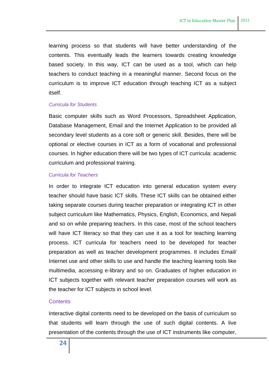learning process so that students will have better understanding of the contents. This eventually leads the learners towards creating knowledge based society. In this way, ICT can be used as a tool, which can help teachers to conduct teaching in a meaningful manner. Second focus on the curriculum is to improve ICT education through teaching ICT as a subject itself.

#### *Curricula for Students*

Basic computer skills such as Word Processors, Spreadsheet Application, Database Management, Email and the Internet Application to be provided all secondary level students as a core soft or generic skill. Besides, there will be optional or elective courses in ICT as a form of vocational and professional courses. In higher education there will be two types of ICT curricula: academic curriculum and professional training.

#### *Curricula for Teachers*

In order to integrate ICT education into general education system every teacher should have basic ICT skills. These ICT skills can be obtained either taking separate courses during teacher preparation or integrating ICT in other subject curriculum like Mathematics, Physics, English, Economics, and Nepali and so on while preparing teachers. In this case, most of the school teachers will have ICT literacy so that they can use it as a tool for teaching learning process. ICT curricula for teachers need to be developed for teacher preparation as well as teacher development programmes. It includes Email/ Internet use and other skills to use and handle the teaching learning tools like multimedia, accessing e-library and so on. Graduates of higher education in ICT subjects together with relevant teacher preparation courses will work as the teacher for ICT subjects in school level.

#### **Contents**

Interactive digital contents need to be developed on the basis of curriculum so that students will learn through the use of such digital contents. A live presentation of the contents through the use of ICT instruments like computer,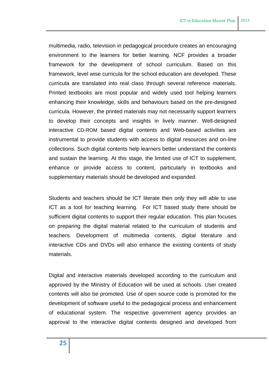multimedia, radio, television in pedagogical procedure creates an encouraging environment to the learners for better learning. NCF provides a broader framework for the development of school curriculum. Based on this framework, level wise curricula for the school education are developed. These curricula are translated into real class through several reference materials. Printed textbooks are most popular and widely used tool helping learners enhancing their knowledge, skills and behaviours based on the pre-designed curricula. However, the printed materials may not necessarily support learners to develop their concepts and insights in lively manner. Well-designed interactive CD-ROM based digital contents and Web-based activities are instrumental to provide students with access to digital resources and on-line collections. Such digital contents help learners better understand the contents and sustain the learning. At this stage, the limited use of ICT to supplement, enhance or provide access to content, particularly in textbooks and supplementary materials should be developed and expanded.

Students and teachers should be ICT literate then only they will able to use ICT as a tool for teaching learning. For ICT based study there should be sufficient digital contents to support their regular education. This plan focuses on preparing the digital material related to the curriculum of students and teachers. Development of multimedia contents, digital literature and interactive CDs and DVDs will also enhance the existing contents of study materials.

Digital and interactive materials developed according to the curriculum and approved by the Ministry of Education will be used at schools. User created contents will also be promoted. Use of open source code is promoted for the development of software useful to the pedagogical process and enhancement of educational system. The respective government agency provides an approval to the interactive digital contents designed and developed from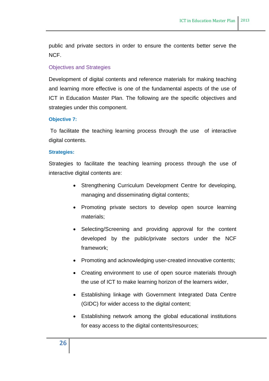public and private sectors in order to ensure the contents better serve the NCF.

## Objectives and Strategies

Development of digital contents and reference materials for making teaching and learning more effective is one of the fundamental aspects of the use of ICT in Education Master Plan. The following are the specific objectives and strategies under this component.

#### **Objective 7:**

To facilitate the teaching learning process through the use of interactive digital contents.

#### **Strategies:**

Strategies to facilitate the teaching learning process through the use of interactive digital contents are:

- Strengthening Curriculum Development Centre for developing, managing and disseminating digital contents;
- Promoting private sectors to develop open source learning materials;
- Selecting/Screening and providing approval for the content developed by the public/private sectors under the NCF framework;
- Promoting and acknowledging user-created innovative contents;
- Creating environment to use of open source materials through the use of ICT to make learning horizon of the learners wider,
- Establishing linkage with Government Integrated Data Centre (GIDC) for wider access to the digital content;
- Establishing network among the global educational institutions for easy access to the digital contents/resources;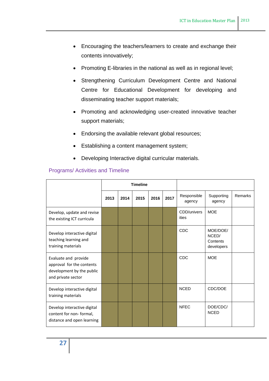- Encouraging the teachers/learners to create and exchange their contents innovatively;
- Promoting E-libraries in the national as well as in regional level;
- Strengthening Curriculum Development Centre and National Centre for Educational Development for developing and disseminating teacher support materials;
- Promoting and acknowledging user-created innovative teacher support materials;
- Endorsing the available relevant global resources;
- Establishing a content management system;
- Developing Interactive digital curricular materials.

## Programs/ Activities and Timeline

|                                                                                                      |      | <b>Timeline</b> |      |      |      |                       |                                             |         |
|------------------------------------------------------------------------------------------------------|------|-----------------|------|------|------|-----------------------|---------------------------------------------|---------|
|                                                                                                      | 2013 | 2014            | 2015 | 2016 | 2017 | Responsible<br>agency | Supporting<br>agency                        | Remarks |
| Develop, update and revise<br>the existing ICT curricula                                             |      |                 |      |      |      | CDD/univers<br>ities  | <b>MOE</b>                                  |         |
| Develop interactive digital<br>teaching learning and<br>training materials                           |      |                 |      |      |      | <b>CDC</b>            | MOE/DOE/<br>NCED/<br>Contents<br>developers |         |
| Evaluate and provide<br>approval for the contents<br>development by the public<br>and private sector |      |                 |      |      |      | CDC                   | <b>MOF</b>                                  |         |
| Develop interactive digital<br>training materials                                                    |      |                 |      |      |      | <b>NCED</b>           | CDC/DOE                                     |         |
| Develop interactive digital<br>content for non-formal,<br>distance and open learning                 |      |                 |      |      |      | <b>NFFC</b>           | DOE/CDC/<br><b>NCED</b>                     |         |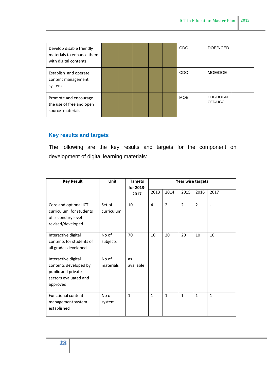| Develop disable friendly<br>materials to enhance them<br>with digital contents |  |  | <b>CDC</b> | DOE/NCED             |  |
|--------------------------------------------------------------------------------|--|--|------------|----------------------|--|
| Establish and operate<br>content management<br>system                          |  |  | <b>CDC</b> | MOE/DOE              |  |
| Promote and encourage<br>the use of free and open<br>source materials          |  |  | <b>MOE</b> | CDE/DOE/N<br>CED/UGC |  |

# **Key results and targets**

The following are the key results and targets for the component on development of digital learning materials:

| <b>Key Result</b>                                                                                       | Unit                 | <b>Targets</b><br>for 2013- |              |                |                | Year wise targets        |                          |
|---------------------------------------------------------------------------------------------------------|----------------------|-----------------------------|--------------|----------------|----------------|--------------------------|--------------------------|
|                                                                                                         |                      | 2017                        | 2013         | 2014           | 2015           | 2016                     | 2017                     |
| Core and optional ICT<br>curriculum for students<br>of secondary level<br>revised/developed             | Set of<br>curriculum | 10                          | 4            | $\overline{2}$ | $\overline{2}$ | $\overline{\phantom{a}}$ | $\overline{\phantom{a}}$ |
| Interactive digital<br>contents for students of<br>all grades developed                                 | No of<br>subjects    | 70                          | 10           | 20             | 20             | 10                       | 10                       |
| Interactive digital<br>contents developed by<br>public and private<br>sectors evaluated and<br>approved | No of<br>materials   | as<br>available             |              |                |                |                          |                          |
| <b>Functional content</b><br>management system<br>established                                           | No of<br>system      | $\mathbf{1}$                | $\mathbf{1}$ | $\mathbf{1}$   | $\mathbf{1}$   | $\mathbf{1}$             | $\mathbf{1}$             |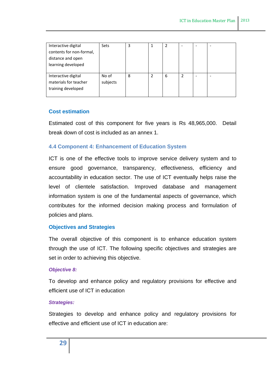| Interactive digital      | Sets     | 3 |   |   |               |   |  |
|--------------------------|----------|---|---|---|---------------|---|--|
| contents for non-formal, |          |   |   |   |               |   |  |
| distance and open        |          |   |   |   |               |   |  |
| learning developed       |          |   |   |   |               |   |  |
|                          |          |   |   |   |               |   |  |
| Interactive digital      | No of    | 8 | 2 | 6 | $\mathcal{P}$ | ۰ |  |
| materials for teacher    | subjects |   |   |   |               |   |  |
| training developed       |          |   |   |   |               |   |  |
|                          |          |   |   |   |               |   |  |

## **Cost estimation**

Estimated cost of this component for five years is Rs 48,965,000. Detail break down of cost is included as an annex 1.

## <span id="page-28-0"></span>**4.4 Component 4: Enhancement of Education System**

ICT is one of the effective tools to improve service delivery system and to ensure good governance, transparency, effectiveness, efficiency and accountability in education sector. The use of ICT eventually helps raise the level of clientele satisfaction. Improved database and management information system is one of the fundamental aspects of governance, which contributes for the informed decision making process and formulation of policies and plans.

## **Objectives and Strategies**

The overall objective of this component is to enhance education system through the use of ICT. The following specific objectives and strategies are set in order to achieving this objective.

## *Objective 8:*

To develop and enhance policy and regulatory provisions for effective and efficient use of ICT in education

#### *Strategies:*

Strategies to develop and enhance policy and regulatory provisions for effective and efficient use of ICT in education are: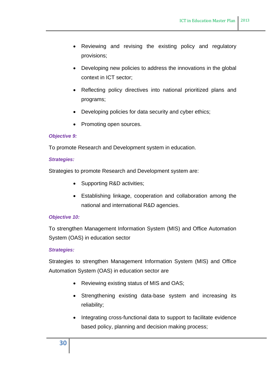- Reviewing and revising the existing policy and regulatory provisions;
- Developing new policies to address the innovations in the global context in ICT sector;
- Reflecting policy directives into national prioritized plans and programs;
- Developing policies for data security and cyber ethics;
- Promoting open sources.

#### *Objective 9:*

To promote Research and Development system in education.

#### *Strategies:*

Strategies to promote Research and Development system are:

- Supporting R&D activities;
- Establishing linkage, cooperation and collaboration among the national and international R&D agencies.

#### *Objective 10:*

To strengthen Management Information System (MIS) and Office Automation System (OAS) in education sector

#### *Strategies:*

Strategies to strengthen Management Information System (MIS) and Office Automation System (OAS) in education sector are

- Reviewing existing status of MIS and OAS;
- Strengthening existing data-base system and increasing its reliability;
- Integrating cross-functional data to support to facilitate evidence based policy, planning and decision making process;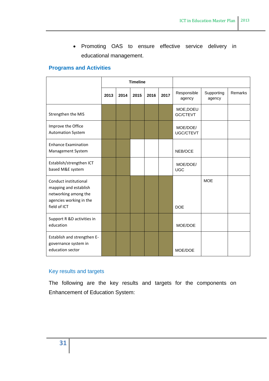Promoting OAS to ensure effective service delivery in educational management.

## **Programs and Activities**

|                                                                                                                   | <b>Timeline</b> |      |      |      |      |                              |                      |         |
|-------------------------------------------------------------------------------------------------------------------|-----------------|------|------|------|------|------------------------------|----------------------|---------|
|                                                                                                                   | 2013            | 2014 | 2015 | 2016 | 2017 | Responsible<br>agency        | Supporting<br>agency | Remarks |
| Strengthen the MIS                                                                                                |                 |      |      |      |      | MOE, DOEU<br><b>GC/CTEVT</b> |                      |         |
| Improve the Office<br><b>Automation System</b>                                                                    |                 |      |      |      |      | MOE/DOE/<br>UGC/CTEVT        |                      |         |
| <b>Enhance Examination</b><br>Management System                                                                   |                 |      |      |      |      | NEB/OCE                      |                      |         |
| Establish/strengthen ICT<br>based M&E system                                                                      |                 |      |      |      |      | MOE/DOE/<br><b>UGC</b>       |                      |         |
| Conduct institutional<br>mapping and establish<br>networking among the<br>agencies working in the<br>field of ICT |                 |      |      |      |      | <b>DOE</b>                   | <b>MOE</b>           |         |
| Support R &D activities in<br>education                                                                           |                 |      |      |      |      | MOE/DOE                      |                      |         |
| Establish and strengthen E-<br>governance system in<br>education sector                                           |                 |      |      |      |      | MOE/DOE                      |                      |         |

# Key results and targets

The following are the key results and targets for the components on Enhancement of Education System: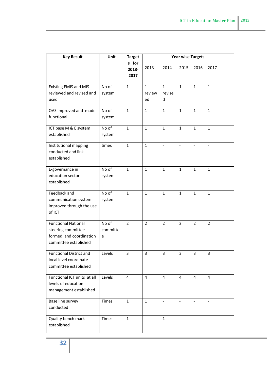| <b>Key Result</b>                                                                                    | Unit                   | <b>Target</b><br>s for |                              |                             | <b>Year wise Targets</b> |                          |                          |
|------------------------------------------------------------------------------------------------------|------------------------|------------------------|------------------------------|-----------------------------|--------------------------|--------------------------|--------------------------|
|                                                                                                      |                        | 2013-<br>2017          | 2013                         | 2014                        | 2015                     | 2016                     | 2017                     |
| <b>Existing EMIS and MIS</b><br>reviewed and revised and<br>used                                     | No of<br>system        | $\mathbf{1}$           | $\mathbf{1}$<br>review<br>ed | $\mathbf{1}$<br>revise<br>d | $\mathbf{1}$             | $\mathbf{1}$             | $\mathbf{1}$             |
| OAS improved and made<br>functional                                                                  | No of<br>system        | $\mathbf{1}$           | $\mathbf{1}$                 | $\mathbf{1}$                | $\mathbf{1}$             | $\mathbf{1}$             | $\mathbf{1}$             |
| ICT base M & E system<br>established                                                                 | No of<br>system        | $\mathbf{1}$           | $\mathbf{1}$                 | $\mathbf{1}$                | $\mathbf{1}$             | $\mathbf{1}$             | $\mathbf{1}$             |
| Institutional mapping<br>conducted and link<br>established                                           | times                  | $\mathbf{1}$           | $\mathbf{1}$                 | $\overline{\phantom{a}}$    | $\overline{a}$           |                          |                          |
| E-governance in<br>education sector<br>established                                                   | No of<br>system        | $\mathbf{1}$           | $\mathbf{1}$                 | $\mathbf{1}$                | $\mathbf{1}$             | $\mathbf{1}$             | $\mathbf{1}$             |
| Feedback and<br>communication system<br>improved through the use<br>of ICT                           | No of<br>system        | $\mathbf{1}$           | $\mathbf{1}$                 | $\mathbf{1}$                | $\mathbf{1}$             | $\mathbf{1}$             | $\mathbf{1}$             |
| <b>Functional National</b><br>steering committee<br>formed and coordination<br>committee established | No of<br>committe<br>e | $\overline{2}$         | $\overline{2}$               | $\overline{2}$              | $\overline{2}$           | $\overline{2}$           | $\overline{2}$           |
| <b>Functional District and</b><br>local level coordinate<br>committee established                    | Levels                 | 3                      | 3                            | 3                           | 3                        | 3                        | 3                        |
| Functional ICT units at all<br>levels of education<br>management established                         | Levels                 | 4                      | 4                            | 4                           | 4                        | $\overline{4}$           | 4                        |
| Base line survey<br>conducted                                                                        | <b>Times</b>           | $\mathbf{1}$           | $\mathbf{1}$                 | $\blacksquare$              | $\frac{1}{2}$            | $\overline{\phantom{a}}$ | $\blacksquare$           |
| Quality bench mark<br>established                                                                    | Times                  | $\mathbf{1}$           | $\blacksquare$               | $\mathbf{1}$                | $\equiv$                 | $\overline{\phantom{a}}$ | $\overline{\phantom{a}}$ |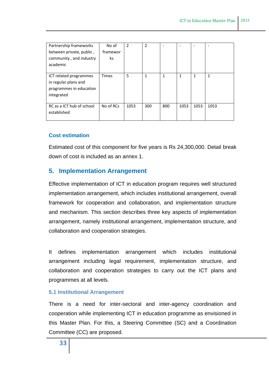| Partnership frameworks    | No of        | 2    | $\overline{2}$ |              |      |              |              |
|---------------------------|--------------|------|----------------|--------------|------|--------------|--------------|
| between private, public,  | framewor     |      |                |              |      |              |              |
| community, and industry   | ks           |      |                |              |      |              |              |
| academic                  |              |      |                |              |      |              |              |
|                           |              |      |                |              |      |              |              |
| ICT related programmes    | <b>Times</b> | 5    | $\mathbf{1}$   | $\mathbf{1}$ | 1    | $\mathbf{1}$ | $\mathbf{1}$ |
| in regular plans and      |              |      |                |              |      |              |              |
| programmes in education   |              |      |                |              |      |              |              |
| integrated                |              |      |                |              |      |              |              |
|                           |              |      |                |              |      |              |              |
| RC as a ICT hub of school | No of RCs    | 1053 | 300            | 800          | 1053 | 1053         | 1053         |
| established               |              |      |                |              |      |              |              |
|                           |              |      |                |              |      |              |              |

## **Cost estimation**

Estimated cost of this component for five years is Rs 24,300,000. Detail break down of cost is included as an annex 1.

## <span id="page-32-0"></span>**5. Implementation Arrangement**

Effective implementation of ICT in education program requires well structured implementation arrangement, which includes institutional arrangement, overall framework for cooperation and collaboration, and implementation structure and mechanism. This section describes three key aspects of implementation arrangement, namely institutional arrangement, implementation structure, and collaboration and cooperation strategies.

It defines implementation arrangement which includes institutional arrangement including legal requirement, implementation structure, and collaboration and cooperation strategies to carry out the ICT plans and programmes at all levels.

## <span id="page-32-1"></span>**5.1 Institutional Arrangement**

There is a need for inter-sectoral and inter-agency coordination and cooperation while implementing ICT in education programme as envisioned in this Master Plan. For this, a Steering Committee (SC) and a Coordination Committee (CC) are proposed.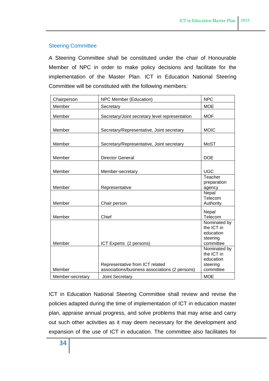#### Steering Committee

A Steering Committee shall be constituted under the chair of Honourable Member of NPC in order to make policy decisions and facilitate for the implementation of the Master Plan. ICT in Education National Steering Committee will be constituted with the following members:

| Chairperson      | NPC Member (Education)                                                            | <b>NPC</b>                                                       |
|------------------|-----------------------------------------------------------------------------------|------------------------------------------------------------------|
| Member           | Secretary                                                                         | <b>MOE</b>                                                       |
| Member           | Secretary/Joint secretary level representation                                    | <b>MOF</b>                                                       |
| Member           | Secretary/Representative, Joint secretary                                         | <b>MOIC</b>                                                      |
| Member           | Secretary/Representative, Joint secretary                                         | <b>MoST</b>                                                      |
| Member           | <b>Director General</b>                                                           | <b>DOE</b>                                                       |
| Member           | Member-secretary                                                                  | <b>UGC</b>                                                       |
| Member           | Representative                                                                    | Teacher<br>preparation<br>agency                                 |
| Member           | Chair person                                                                      | Nepal<br>Telecom<br>Authority                                    |
| Member           | Chief                                                                             | Nepal<br>Telecom                                                 |
| Member           | ICT Experts (2 persons)                                                           | Nominated by<br>the ICT in<br>education<br>steering<br>committee |
|                  |                                                                                   | Nominated by<br>the ICT in                                       |
| Member           | Representative from ICT related<br>associations/business associations (2 persons) | education<br>steering<br>committee                               |
| Member-secretary | Joint Secretary                                                                   | <b>MOE</b>                                                       |

ICT in Education National Steering Committee shall review and revise the policies adapted during the time of implementation of ICT in education master plan, appraise annual progress, and solve problems that may arise and carry out such other activities as it may deem necessary for the development and expansion of the use of ICT in education. The committee also facilitates for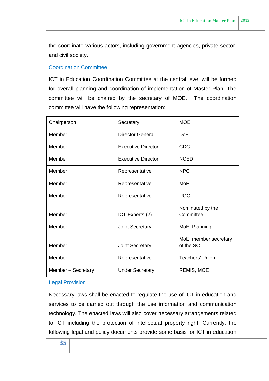the coordinate various actors, including government agencies, private sector, and civil society.

## Coordination Committee

ICT in Education Coordination Committee at the central level will be formed for overall planning and coordination of implementation of Master Plan. The committee will be chaired by the secretary of MOE. The coordination committee will have the following representation:

| Chairperson        | Secretary,                | <b>MOE</b>                         |
|--------------------|---------------------------|------------------------------------|
| Member             | <b>Director General</b>   | <b>DoE</b>                         |
| Member             | <b>Executive Director</b> | <b>CDC</b>                         |
| Member             | <b>Executive Director</b> | <b>NCED</b>                        |
| Member             | Representative            | <b>NPC</b>                         |
| Member             | Representative            | MoF                                |
| Member             | Representative            | <b>UGC</b>                         |
| Member             | ICT Experts (2)           | Nominated by the<br>Committee      |
| Member             | <b>Joint Secretary</b>    | MoE, Planning                      |
| Member             | Joint Secretary           | MoE, member secretary<br>of the SC |
| Member             | Representative            | <b>Teachers' Union</b>             |
| Member - Secretary | <b>Under Secretary</b>    | <b>REMIS, MOE</b>                  |

## Legal Provision

Necessary laws shall be enacted to regulate the use of ICT in education and services to be carried out through the use information and communication technology. The enacted laws will also cover necessary arrangements related to ICT including the protection of intellectual property right. Currently, the following legal and policy documents provide some basis for ICT in education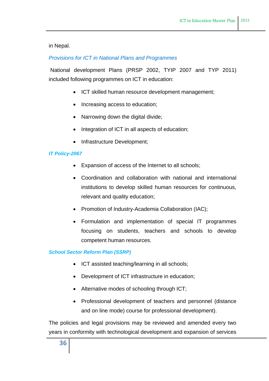in Nepal.

## *Provisions for ICT in National Plans and Programmes*

National development Plans (PRSP 2002, TYIP 2007 and TYP 2011) included following programmes on ICT in education:

- ICT skilled human resource development management:
- Increasing access to education;
- Narrowing down the digital divide;
- Integration of ICT in all aspects of education;
- Infrastructure Development;

#### *IT Policy-2067*

- Expansion of access of the Internet to all schools;
- Coordination and collaboration with national and international institutions to develop skilled human resources for continuous, relevant and quality education;
- Promotion of Industry-Academia Collaboration (IAC);
- Formulation and implementation of special IT programmes focusing on students, teachers and schools to develop competent human resources.

#### *School Sector Reform Plan (SSRP)*

- ICT assisted teaching/learning in all schools;
- Development of ICT infrastructure in education;
- Alternative modes of schooling through ICT;
- Professional development of teachers and personnel (distance and on line mode) course for professional development).

The policies and legal provisions may be reviewed and amended every two years in conformity with technological development and expansion of services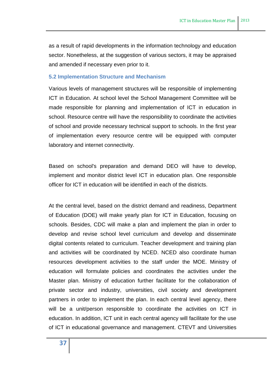as a result of rapid developments in the information technology and education sector. Nonetheless, at the suggestion of various sectors, it may be appraised and amended if necessary even prior to it.

#### <span id="page-36-0"></span>**5.2 Implementation Structure and Mechanism**

Various levels of management structures will be responsible of implementing ICT in Education. At school level the School Management Committee will be made responsible for planning and implementation of ICT in education in school. Resource centre will have the responsibility to coordinate the activities of school and provide necessary technical support to schools. In the first year of implementation every resource centre will be equipped with computer laboratory and internet connectivity.

Based on school's preparation and demand DEO will have to develop, implement and monitor district level ICT in education plan. One responsible officer for ICT in education will be identified in each of the districts.

At the central level, based on the district demand and readiness, Department of Education (DOE) will make yearly plan for ICT in Education, focusing on schools. Besides, CDC will make a plan and implement the plan in order to develop and revise school level curriculum and develop and disseminate digital contents related to curriculum. Teacher development and training plan and activities will be coordinated by NCED. NCED also coordinate human resources development activities to the staff under the MOE. Ministry of education will formulate policies and coordinates the activities under the Master plan. Ministry of education further facilitate for the collaboration of private sector and industry, universities, civil society and development partners in order to implement the plan. In each central level agency, there will be a unit/person responsible to coordinate the activities on ICT in education. In addition, ICT unit in each central agency will facilitate for the use of ICT in educational governance and management. CTEVT and Universities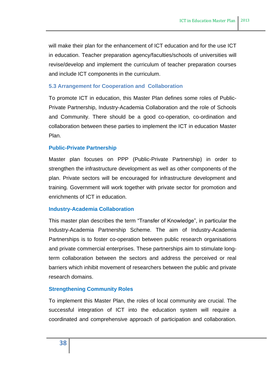will make their plan for the enhancement of ICT education and for the use ICT in education. Teacher preparation agency/faculties/schools of universities will revise/develop and implement the curriculum of teacher preparation courses and include ICT components in the curriculum.

## <span id="page-37-0"></span>**5.3 Arrangement for Cooperation and Collaboration**

To promote ICT in education, this Master Plan defines some roles of Public-Private Partnership, Industry-Academia Collaboration and the role of Schools and Community. There should be a good co-operation, co-ordination and collaboration between these parties to implement the ICT in education Master Plan.

## **Public-Private Partnership**

Master plan focuses on PPP (Public-Private Partnership) in order to strengthen the infrastructure development as well as other components of the plan. Private sectors will be encouraged for infrastructure development and training. Government will work together with private sector for promotion and enrichments of ICT in education.

## **Industry-Academia Collaboration**

This master plan describes the term "Transfer of Knowledge", in particular the Industry-Academia Partnership Scheme. The aim of Industry-Academia Partnerships is to foster co-operation between public research organisations and private commercial enterprises. These partnerships aim to stimulate longterm collaboration between the sectors and address the perceived or real barriers which inhibit movement of researchers between the public and private research domains.

## **Strengthening Community Roles**

To implement this Master Plan, the roles of local community are crucial. The successful integration of ICT into the education system will require a coordinated and comprehensive approach of participation and collaboration.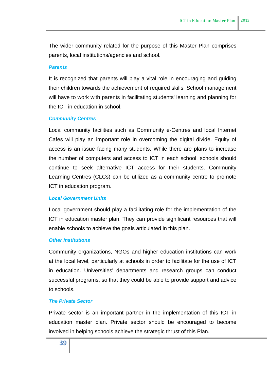The wider community related for the purpose of this Master Plan comprises parents, local institutions/agencies and school.

#### *Parents*

It is recognized that parents will play a vital role in encouraging and guiding their children towards the achievement of required skills. School management will have to work with parents in facilitating students' learning and planning for the ICT in education in school.

#### *Community Centres*

Local community facilities such as Community e-Centres and local Internet Cafes will play an important role in overcoming the digital divide. Equity of access is an issue facing many students. While there are plans to increase the number of computers and access to ICT in each school, schools should continue to seek alternative ICT access for their students. Community Learning Centres (CLCs) can be utilized as a community centre to promote ICT in education program.

#### *Local Government Units*

Local government should play a facilitating role for the implementation of the ICT in education master plan. They can provide significant resources that will enable schools to achieve the goals articulated in this plan.

#### *Other Institutions*

Community organizations, NGOs and higher education institutions can work at the local level, particularly at schools in order to facilitate for the use of ICT in education. Universities' departments and research groups can conduct successful programs, so that they could be able to provide support and advice to schools.

#### *The Private Sector*

Private sector is an important partner in the implementation of this ICT in education master plan. Private sector should be encouraged to become involved in helping schools achieve the strategic thrust of this Plan.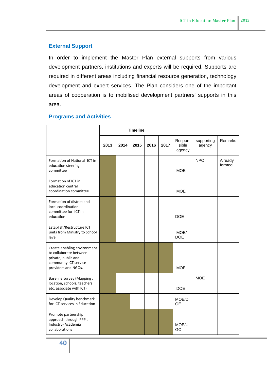## **External Support**

In order to implement the Master Plan external supports from various development partners, institutions and experts will be required. Supports are required in different areas including financial resource generation, technology development and expert services. The Plan considers one of the important areas of cooperation is to mobilised development partners' supports in this area.

|                                                                                                                              |      | <b>Timeline</b> |      |      |      |                            |                      |                   |
|------------------------------------------------------------------------------------------------------------------------------|------|-----------------|------|------|------|----------------------------|----------------------|-------------------|
|                                                                                                                              | 2013 | 2014            | 2015 | 2016 | 2017 | Respon-<br>sible<br>agency | supporting<br>agency | Remarks           |
| Formation of National ICT in<br>education steering<br>committee                                                              |      |                 |      |      |      | <b>MOE</b>                 | <b>NPC</b>           | Already<br>formed |
| Formation of ICT in<br>education central<br>coordination committee                                                           |      |                 |      |      |      | <b>MOE</b>                 |                      |                   |
| Formation of district and<br>local coordination<br>committee for ICT in<br>education                                         |      |                 |      |      |      | <b>DOE</b>                 |                      |                   |
| Establish/Restructure ICT<br>units from Ministry to School<br>level                                                          |      |                 |      |      |      | MOE/<br><b>DOE</b>         |                      |                   |
| Create enabling environment<br>to collaborate between<br>private, public and<br>community ICT service<br>providers and NGOs. |      |                 |      |      |      | <b>MOE</b>                 |                      |                   |
| <b>Baseline survey (Mapping:</b><br>location, schools, teachers<br>etc. associate with ICT)                                  |      |                 |      |      |      | <b>DOE</b>                 | <b>MOE</b>           |                   |
| Develop Quality benchmark<br>for ICT services in Education                                                                   |      |                 |      |      |      | MOE/D<br><b>OE</b>         |                      |                   |
| Promote partnership<br>approach through PPP,<br>Industry-Academia<br>collaborations                                          |      |                 |      |      |      | MOE/U<br>GC                |                      |                   |

#### **Programs and Activities**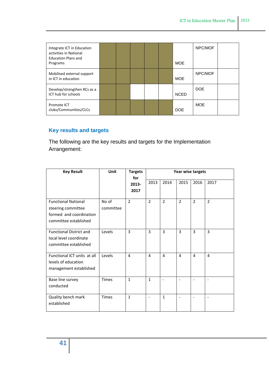| Integrate ICT in Education<br>activities in National<br><b>Education Plans and</b><br>Programs |  |  | <b>MOE</b>  | NPC/MOF    |  |
|------------------------------------------------------------------------------------------------|--|--|-------------|------------|--|
| Mobilised external support<br>in ICT in education                                              |  |  | <b>MOE</b>  | NPC/MOF    |  |
| Develop/strengthen RCs as a<br>ICT hub for schools                                             |  |  | <b>NCED</b> | DOE        |  |
| Promote ICT<br>clubs/Communities/CLCs                                                          |  |  | <b>DOE</b>  | <b>MOE</b> |  |

# **Key results and targets**

The following are the key results and targets for the Implementation Arrangement:

| <b>Key Result</b>              | Unit         | <b>Targets</b><br>for | Year wise targets        |                          |                |                |                              |
|--------------------------------|--------------|-----------------------|--------------------------|--------------------------|----------------|----------------|------------------------------|
|                                |              | 2013-                 | 2013                     | 2014                     | 2015           | 2016           | 2017                         |
|                                |              | 2017                  |                          |                          |                |                |                              |
| <b>Functional National</b>     | No of        | $\overline{2}$        | $\overline{2}$           | $\overline{2}$           | $\overline{2}$ | $\overline{2}$ | $\overline{2}$               |
| steering committee             | committee    |                       |                          |                          |                |                |                              |
| formed and coordination        |              |                       |                          |                          |                |                |                              |
| committee established          |              |                       |                          |                          |                |                |                              |
| <b>Functional District and</b> | Levels       | $\overline{3}$        | 3                        | $\overline{3}$           | $\overline{3}$ | 3              | $\overline{3}$               |
| local level coordinate         |              |                       |                          |                          |                |                |                              |
| committee established          |              |                       |                          |                          |                |                |                              |
| Functional ICT units at all    | Levels       | 4                     | 4                        | 4                        | 4              | 4              | 4                            |
| levels of education            |              |                       |                          |                          |                |                |                              |
| management established         |              |                       |                          |                          |                |                |                              |
| Base line survey               | <b>Times</b> | $\mathbf{1}$          | $\mathbf{1}$             | $\overline{\phantom{a}}$ | $\blacksquare$ |                | $\qquad \qquad \blacksquare$ |
| conducted                      |              |                       |                          |                          |                |                |                              |
| Quality bench mark             | <b>Times</b> | $\mathbf{1}$          | $\overline{\phantom{a}}$ | $\mathbf{1}$             | $\blacksquare$ | $\overline{a}$ | $\overline{\phantom{a}}$     |
| established                    |              |                       |                          |                          |                |                |                              |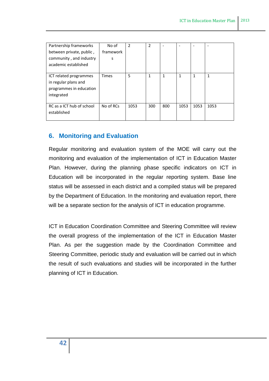| Partnership frameworks    | No of        | $\overline{2}$ | $\overline{2}$ | $\overline{\phantom{0}}$ |      |      |      |
|---------------------------|--------------|----------------|----------------|--------------------------|------|------|------|
| between private, public,  | framework    |                |                |                          |      |      |      |
| community, and industry   | S            |                |                |                          |      |      |      |
| academic established      |              |                |                |                          |      |      |      |
|                           |              |                |                |                          |      |      |      |
| ICT related programmes    | <b>Times</b> | 5              | 1              | 1                        | 1    | 1    | 1    |
| in regular plans and      |              |                |                |                          |      |      |      |
| programmes in education   |              |                |                |                          |      |      |      |
| integrated                |              |                |                |                          |      |      |      |
|                           |              |                |                |                          |      |      |      |
| RC as a ICT hub of school | No of RCs    | 1053           | 300            | 800                      | 1053 | 1053 | 1053 |
| established               |              |                |                |                          |      |      |      |
|                           |              |                |                |                          |      |      |      |

# <span id="page-41-0"></span>**6. Monitoring and Evaluation**

Regular monitoring and evaluation system of the MOE will carry out the monitoring and evaluation of the implementation of ICT in Education Master Plan. However, during the planning phase specific indicators on ICT in Education will be incorporated in the regular reporting system. Base line status will be assessed in each district and a compiled status will be prepared by the Department of Education. In the monitoring and evaluation report, there will be a separate section for the analysis of ICT in education programme.

ICT in Education Coordination Committee and Steering Committee will review the overall progress of the implementation of the ICT in Education Master Plan. As per the suggestion made by the Coordination Committee and Steering Committee, periodic study and evaluation will be carried out in which the result of such evaluations and studies will be incorporated in the further planning of ICT in Education.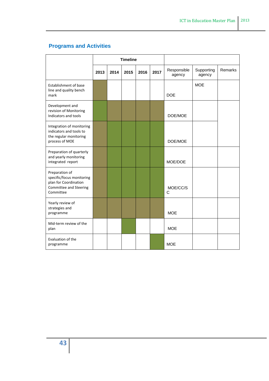# **Programs and Activities**

|                                                                                                             | <b>Timeline</b> |      |      |      |      |                       |                      |         |
|-------------------------------------------------------------------------------------------------------------|-----------------|------|------|------|------|-----------------------|----------------------|---------|
|                                                                                                             | 2013            | 2014 | 2015 | 2016 | 2017 | Responsible<br>agency | Supporting<br>agency | Remarks |
| <b>Establishment of base</b><br>line and quality bench<br>mark                                              |                 |      |      |      |      | <b>DOE</b>            | <b>MOE</b>           |         |
| Development and<br>revision of Monitoring<br>Indicators and tools                                           |                 |      |      |      |      | DOE/MOE               |                      |         |
| Integration of monitoring<br>indicators and tools to<br>the regular monitoring<br>process of MOE            |                 |      |      |      |      | DOE/MOE               |                      |         |
| Preparation of quarterly<br>and yearly monitoring<br>integrated report                                      |                 |      |      |      |      | MOE/DOE               |                      |         |
| Preparation of<br>specific/focus monitoring<br>plan for Coordination<br>Committee and Steering<br>Committee |                 |      |      |      |      | MOE/CC/S<br>C         |                      |         |
| Yearly review of<br>strategies and<br>programme                                                             |                 |      |      |      |      | <b>MOE</b>            |                      |         |
| Mid-term review of the<br>plan                                                                              |                 |      |      |      |      | <b>MOE</b>            |                      |         |
| Evaluation of the<br>programme                                                                              |                 |      |      |      |      | <b>MOE</b>            |                      |         |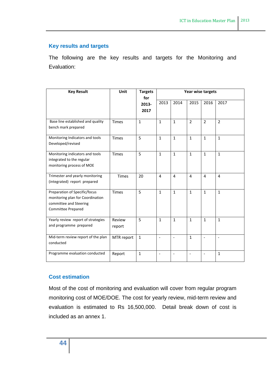## **Key results and targets**

The following are the key results and targets for the Monitoring and Evaluation:

| <b>Key Result</b>                                                                                                        | Unit             | <b>Targets</b><br>for | Year wise targets |                          |                          |                |                          |
|--------------------------------------------------------------------------------------------------------------------------|------------------|-----------------------|-------------------|--------------------------|--------------------------|----------------|--------------------------|
|                                                                                                                          |                  | 2013-<br>2017         | 2013              | 2014                     | 2015                     | 2016           | 2017                     |
| Base line established and quality<br>bench mark prepared                                                                 | <b>Times</b>     | $\mathbf{1}$          | $\mathbf{1}$      | $\mathbf{1}$             | $\overline{2}$           | $\overline{2}$ | $\overline{2}$           |
| Monitoring Indicators and tools<br>Developed/revised                                                                     | <b>Times</b>     | 5                     | $\mathbf{1}$      | $\mathbf{1}$             | $\mathbf{1}$             | $\mathbf{1}$   | $\mathbf{1}$             |
| Monitoring indicators and tools<br>integrated to the regular<br>monitoring process of MOE                                | <b>Times</b>     | 5                     | $\mathbf{1}$      | $\mathbf{1}$             | $\mathbf{1}$             | $\mathbf{1}$   | $\mathbf{1}$             |
| Trimester and yearly monitoring<br>(integrated) report prepared                                                          | <b>Times</b>     | 20                    | 4                 | 4                        | 4                        | $\overline{4}$ | $\overline{4}$           |
| Preparation of Specific/focus<br>monitoring plan for Coordination<br>committee and Steering<br><b>Committee Prepared</b> | <b>Times</b>     | 5                     | $\mathbf{1}$      | $\mathbf{1}$             | $\mathbf{1}$             | $\mathbf{1}$   | $\mathbf{1}$             |
| Yearly review report of strategies<br>and programme prepared                                                             | Review<br>report | 5                     | $\mathbf{1}$      | $\mathbf{1}$             | $\mathbf{1}$             | $\mathbf{1}$   | $\mathbf{1}$             |
| Mid-term review report of the plan<br>conducted                                                                          | MTR report       | $\mathbf{1}$          | $\overline{a}$    | $\overline{\phantom{a}}$ | $\mathbf{1}$             | $\frac{1}{2}$  | $\overline{\phantom{a}}$ |
| Programme evaluation conducted                                                                                           | Report           | $\mathbf{1}$          | $\blacksquare$    | $\blacksquare$           | $\overline{\phantom{a}}$ | $\overline{a}$ | $\mathbf{1}$             |

## **Cost estimation**

Most of the cost of monitoring and evaluation will cover from regular program monitoring cost of MOE/DOE. The cost for yearly review, mid-term review and evaluation is estimated to Rs 16,500,000. Detail break down of cost is included as an annex 1.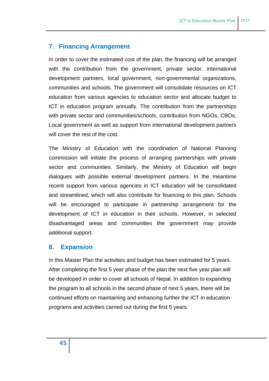## <span id="page-44-0"></span>**7. Financing Arrangement**

In order to cover the estimated cost of the plan, the financing will be arranged with the contribution from the government, private sector, international development partners, local government, non-governmental organizations, communities and schools. The government will consolidate resources on ICT education from various agencies to education sector and allocate budget to ICT in education program annually. The contribution from the partnerships with private sector and communities/schools, contribution from NGOs, CBOs, Local government as well as support from international development partners will cover the rest of the cost.

The Ministry of Education with the coordination of National Planning commission will initiate the process of arranging partnerships with private sector and communities. Similarly, the Ministry of Education will begin dialogues with possible external development partners. In the meantime recent support from various agencies in ICT education will be consolidated and streamlined, which will also contribute for financing to this plan. Schools will be encouraged to participate in partnership arrangement for the development of ICT in education in their schools. However, in selected disadvantaged areas and communities the government may provide additional support.

## <span id="page-44-1"></span>**8. Expansion**

<span id="page-44-2"></span>In this Master Plan the activities and budget has been estimated for 5 years. After completing the first 5 year phase of the plan the next five year plan will be developed in order to cover all schools of Nepal. In addition to expanding the program to all schools in the second phase of next 5 years, there will be continued efforts on maintaining and enhancing further the ICT in education programs and activities carried out during the first 5 years.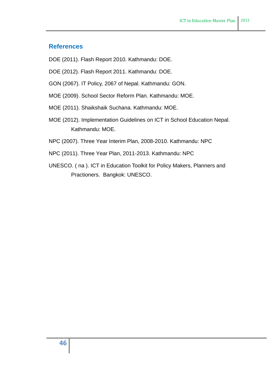## **References**

- DOE (2011). Flash Report 2010. Kathmandu: DOE.
- DOE (2012). Flash Report 2011. Kathmandu: DOE.
- GON (2067). IT Policy, 2067 of Nepal. Kathmandu: GON.
- MOE (2009). School Sector Reform Plan. Kathmandu: MOE.
- MOE (2011). Shaikshaik Suchana. Kathmandu: MOE.
- MOE (2012). Implementation Guidelines on ICT in School Education Nepal. Kathmandu: MOE.
- NPC (2007). Three Year Interim Plan, 2008-2010. Kathmandu: NPC
- NPC (2011). Three Year Plan, 2011-2013. Kathmandu: NPC
- UNESCO. ( na ). ICT in Education Toolkit for Policy Makers, Planners and Practioners. Bangkok: UNESCO.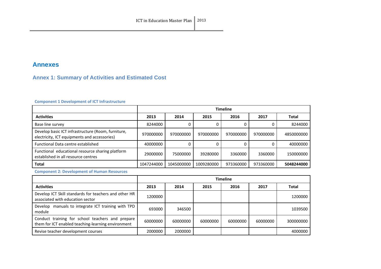## **Annexes**

# **Annex 1: Summary of Activities and Estimated Cost**

#### **Component 1 Development of ICT Infrastructure**

|                                                                                                    | <b>Timeline</b> |            |            |           |           |              |
|----------------------------------------------------------------------------------------------------|-----------------|------------|------------|-----------|-----------|--------------|
| <b>Activities</b>                                                                                  | 2013            | 2014       | 2015       | 2016      | 2017      | <b>Total</b> |
| Base line survey                                                                                   | 8244000         |            |            |           |           | 8244000      |
| Develop basic ICT infrastructure (Room, furniture,<br>electricity, ICT equipments and accessories) | 970000000       | 970000000  | 970000000  | 970000000 | 970000000 | 4850000000   |
| <b>Functional Data centre established</b>                                                          | 40000000        |            |            |           |           | 40000000     |
| Functional educational resource sharing platform<br>established in all resource centres            | 29000000        | 75000000   | 39280000   | 3360000   | 3360000   | 150000000    |
| <b>Total</b>                                                                                       | 1047244000      | 1045000000 | 1009280000 | 973360000 | 973360000 | 5048244000   |

<span id="page-46-0"></span>**Component 2: Development of Human Resources** 

<span id="page-46-1"></span>

|                                                                                                        | <b>Timeline</b> |          |          |          |          |              |
|--------------------------------------------------------------------------------------------------------|-----------------|----------|----------|----------|----------|--------------|
| <b>Activities</b>                                                                                      | 2013            | 2014     | 2015     | 2016     | 2017     | <b>Total</b> |
| Develop ICT Skill standards for teachers and other HR<br>associated with education sector              | 1200000         |          |          |          |          | 1200000      |
| manuals to integrate ICT training with TPD<br>Develop<br>module                                        | 693000          | 346500   |          |          |          | 1039500      |
| Conduct training for school teachers and prepare<br>them for ICT enabled teaching-learning environment | 60000000        | 60000000 | 60000000 | 60000000 | 60000000 | 300000000    |
| Revise teacher development courses                                                                     | 2000000         | 2000000  |          |          |          | 4000000      |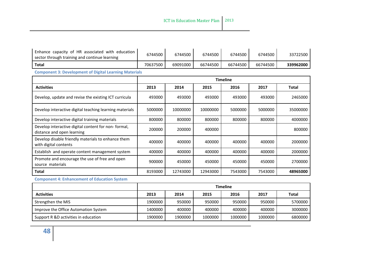| Enhance capacity of HR associated with education<br>sector through training and continue learning | 6744500  | 6744500  | 6744500  | 6744500         | 6744500  | 33722500     |
|---------------------------------------------------------------------------------------------------|----------|----------|----------|-----------------|----------|--------------|
| Total                                                                                             | 70637500 | 69091000 | 66744500 | 66744500        | 66744500 | 339962000    |
| <b>Component 3: Development of Digital Learning Materials</b>                                     |          |          |          |                 |          |              |
|                                                                                                   |          |          |          | <b>Timeline</b> |          |              |
| <b>Activities</b>                                                                                 | 2013     | 2014     | 2015     | 2016            | 2017     | <b>Total</b> |
| Develop, update and revise the existing ICT curricula                                             | 493000   | 493000   | 493000   | 493000          | 493000   | 2465000      |
| Develop interactive digital teaching learning materials                                           | 5000000  | 10000000 | 10000000 | 5000000         | 5000000  | 35000000     |
| Develop interactive digital training materials                                                    | 800000   | 800000   | 800000   | 800000          | 800000   | 4000000      |
| Develop interactive digital content for non-formal,<br>distance and open learning                 | 200000   | 200000   | 400000   |                 |          | 800000       |
| Develop disable friendly materials to enhance them<br>with digital contents                       | 400000   | 400000   | 400000   | 400000          | 400000   | 2000000      |
| Establish and operate content management system                                                   | 400000   | 400000   | 400000   | 400000          | 400000   | 2000000      |
| Promote and encourage the use of free and open<br>source materials                                | 900000   | 450000   | 450000   | 450000          | 450000   | 2700000      |
| Total                                                                                             | 8193000  | 12743000 | 12943000 | 7543000         | 7543000  | 48965000     |

#### **Component 4: Enhancement of Education System**

|                                      | <b>Timeline</b> |         |         |         |         |              |
|--------------------------------------|-----------------|---------|---------|---------|---------|--------------|
| <b>Activities</b>                    | 2013            | 2014    | 2015    | 2016    | 2017    | <b>Total</b> |
| Strengthen the MIS                   | 1900000         | 950000  | 950000  | 950000  | 950000  | 5700000      |
| Improve the Office Automation System | 1400000         | 400000  | 400000  | 400000  | 400000  | 3000000      |
| Support R &D activities in education | 1900000         | 1900000 | 1000000 | 1000000 | 1000000 | 6800000      |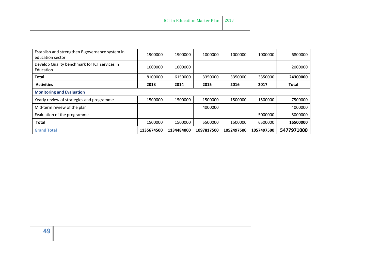| Establish and strengthen E-governance system in<br>education sector | 1900000    | 1900000    | 1000000    | 1000000    | 1000000    | 6800000      |
|---------------------------------------------------------------------|------------|------------|------------|------------|------------|--------------|
| Develop Quality benchmark for ICT services in<br>Education          | 1000000    | 1000000    |            |            |            | 2000000      |
| <b>Total</b>                                                        | 8100000    | 6150000    | 3350000    | 3350000    | 3350000    | 24300000     |
| <b>Activities</b>                                                   | 2013       | 2014       | 2015       | 2016       | 2017       | <b>Total</b> |
| <b>Monitoring and Evaluation</b>                                    |            |            |            |            |            |              |
| Yearly review of strategies and programme                           | 1500000    | 1500000    | 1500000    | 1500000    | 1500000    | 7500000      |
| Mid-term review of the plan                                         |            |            | 4000000    |            |            | 4000000      |
| Evaluation of the programme                                         |            |            |            |            | 5000000    | 5000000      |
| <b>Total</b>                                                        | 1500000    | 1500000    | 5500000    | 1500000    | 6500000    | 16500000     |
| <b>Grand Total</b>                                                  | 1135674500 | 1134484000 | 1097817500 | 1052497500 | 1057497500 | 5477971000   |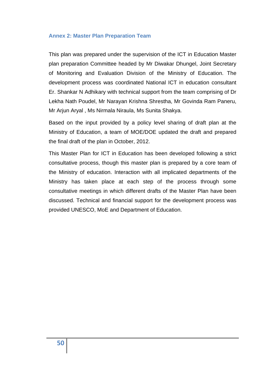#### <span id="page-49-0"></span>**Annex 2: Master Plan Preparation Team**

This plan was prepared under the supervision of the ICT in Education Master plan preparation Committee headed by Mr Diwakar Dhungel, Joint Secretary of Monitoring and Evaluation Division of the Ministry of Education. The development process was coordinated National ICT in education consultant Er. Shankar N Adhikary with technical support from the team comprising of Dr Lekha Nath Poudel, Mr Narayan Krishna Shrestha, Mr Govinda Ram Paneru, Mr Arjun Aryal , Ms Nirmala Niraula, Ms Sunita Shakya.

Based on the input provided by a policy level sharing of draft plan at the Ministry of Education, a team of MOE/DOE updated the draft and prepared the final draft of the plan in October, 2012.

This Master Plan for ICT in Education has been developed following a strict consultative process, though this master plan is prepared by a core team of the Ministry of education. Interaction with all implicated departments of the Ministry has taken place at each step of the process through some consultative meetings in which different drafts of the Master Plan have been discussed. Technical and financial support for the development process was provided UNESCO, MoE and Department of Education.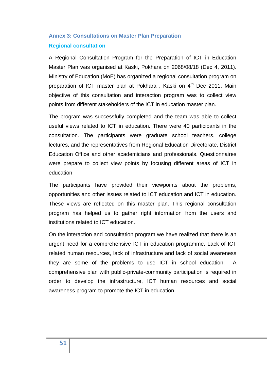# <span id="page-50-0"></span>**Annex 3: Consultations on Master Plan Preparation Regional consultation**

A Regional Consultation Program for the Preparation of ICT in Education Master Plan was organised at Kaski, Pokhara on 2068/08/18 (Dec 4, 2011). Ministry of Education (MoE) has organized a regional consultation program on preparation of ICT master plan at Pokhara, Kaski on 4<sup>th</sup> Dec 2011. Main objective of this consultation and interaction program was to collect view points from different stakeholders of the ICT in education master plan.

The program was successfully completed and the team was able to collect useful views related to ICT in education. There were 40 participants in the consultation. The participants were graduate school teachers, college lectures, and the representatives from Regional Education Directorate, District Education Office and other academicians and professionals. Questionnaires were prepare to collect view points by focusing different areas of ICT in education

The participants have provided their viewpoints about the problems, opportunities and other issues related to ICT education and ICT in education. These views are reflected on this master plan. This regional consultation program has helped us to gather right information from the users and institutions related to ICT education.

On the interaction and consultation program we have realized that there is an urgent need for a comprehensive ICT in education programme. Lack of ICT related human resources, lack of infrastructure and lack of social awareness they are some of the problems to use ICT in school education. A comprehensive plan with public-private-community participation is required in order to develop the infrastructure, ICT human resources and social awareness program to promote the ICT in education.